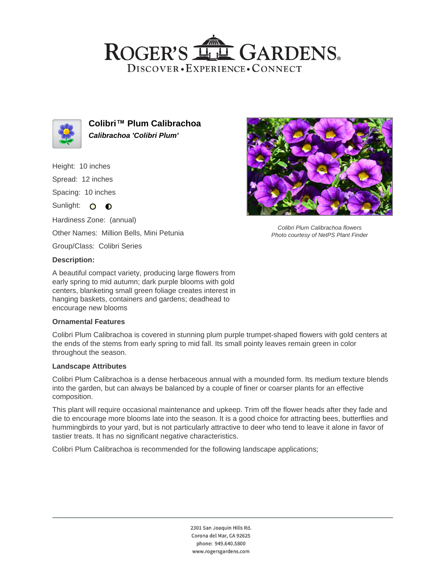## ROGER'S LL GARDENS. DISCOVER · EXPERIENCE · CONNECT



**Colibri™ Plum Calibrachoa Calibrachoa 'Colibri Plum'**

Height: 10 inches

Spread: 12 inches

Spacing: 10 inches

Sunlight: O O

Hardiness Zone: (annual) Other Names: Million Bells, Mini Petunia Group/Class: Colibri Series

### **Description:**

A beautiful compact variety, producing large flowers from early spring to mid autumn; dark purple blooms with gold centers, blanketing small green foliage creates interest in hanging baskets, containers and gardens; deadhead to encourage new blooms

#### **Ornamental Features**

Colibri Plum Calibrachoa is covered in stunning plum purple trumpet-shaped flowers with gold centers at the ends of the stems from early spring to mid fall. Its small pointy leaves remain green in color throughout the season.

#### **Landscape Attributes**

Colibri Plum Calibrachoa is a dense herbaceous annual with a mounded form. Its medium texture blends into the garden, but can always be balanced by a couple of finer or coarser plants for an effective composition.

This plant will require occasional maintenance and upkeep. Trim off the flower heads after they fade and die to encourage more blooms late into the season. It is a good choice for attracting bees, butterflies and hummingbirds to your yard, but is not particularly attractive to deer who tend to leave it alone in favor of tastier treats. It has no significant negative characteristics.

Colibri Plum Calibrachoa is recommended for the following landscape applications;



Colibri Plum Calibrachoa flowers Photo courtesy of NetPS Plant Finder